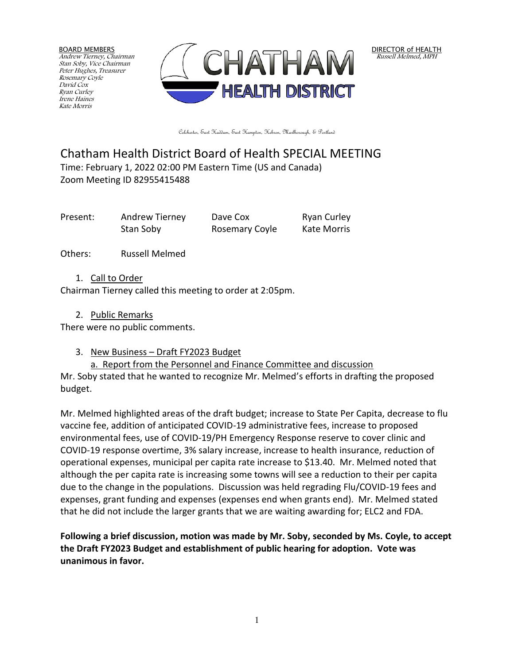BOARD MEMBERS Andrew Tierney, Chairman Stan Soby, Vice Chairman Peter Hughes, Treasurer Rosemary Coyle David Cox Ryan Curley Irene Haines Kate Morris



DIRECTOR of HEALTH Russell Melmed, MPH

Colchester, East Haddam, East Hampton, Hebron, Marlborough, & Portland

# Chatham Health District Board of Health SPECIAL MEETING Time: February 1, 2022 02:00 PM Eastern Time (US and Canada) Zoom Meeting ID 82955415488

Present: Andrew Tierney Dave Cox Ryan Curley Stan Soby Rosemary Coyle Kate Morris

Others: Russell Melmed

1. Call to Order

Chairman Tierney called this meeting to order at 2:05pm.

## 2. Public Remarks

There were no public comments.

3. New Business – Draft FY2023 Budget

a. Report from the Personnel and Finance Committee and discussion

Mr. Soby stated that he wanted to recognize Mr. Melmed's efforts in drafting the proposed budget.

Mr. Melmed highlighted areas of the draft budget; increase to State Per Capita, decrease to flu vaccine fee, addition of anticipated COVID-19 administrative fees, increase to proposed environmental fees, use of COVID-19/PH Emergency Response reserve to cover clinic and COVID-19 response overtime, 3% salary increase, increase to health insurance, reduction of operational expenses, municipal per capita rate increase to \$13.40. Mr. Melmed noted that although the per capita rate is increasing some towns will see a reduction to their per capita due to the change in the populations. Discussion was held regrading Flu/COVID-19 fees and expenses, grant funding and expenses (expenses end when grants end). Mr. Melmed stated that he did not include the larger grants that we are waiting awarding for; ELC2 and FDA.

**Following a brief discussion, motion was made by Mr. Soby, seconded by Ms. Coyle, to accept the Draft FY2023 Budget and establishment of public hearing for adoption. Vote was unanimous in favor.**